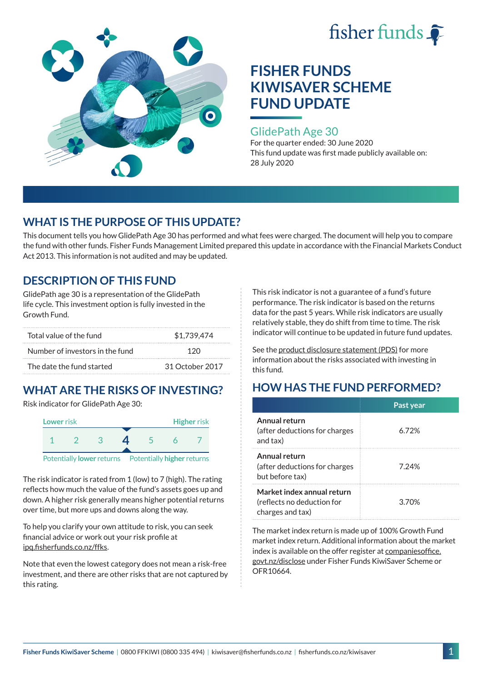



### GlidePath Age 30

For the quarter ended: 30 June 2020 This fund update was first made publicly available on: 28 July 2020

# **WHAT IS THE PURPOSE OF THIS UPDATE?**

This document tells you how GlidePath Age 30 has performed and what fees were charged. The document will help you to compare the fund with other funds. Fisher Funds Management Limited prepared this update in accordance with the Financial Markets Conduct Act 2013. This information is not audited and may be updated.

## **DESCRIPTION OF THIS FUND**

GlidePath age 30 is a representation of the GlidePath life cycle. This investment option is fully invested in the Growth Fund.

| Total value of the fund         | \$1.739.474     |  |
|---------------------------------|-----------------|--|
| Number of investors in the fund | 12 N            |  |
| The date the fund started       | 31 October 2017 |  |

# **WHAT ARE THE RISKS OF INVESTING?**

Risk indicator for GlidePath Age 30:



The risk indicator is rated from 1 (low) to 7 (high). The rating

reflects how much the value of the fund's assets goes up and down. A higher risk generally means higher potential returns over time, but more ups and downs along the way.

To help you clarify your own attitude to risk, you can seek financial advice or work out your risk profile at [ipq.fisherfunds.co.nz/ffks](https://ipq.fisherfunds.co.nz/ffks).

Note that even the lowest category does not mean a risk-free investment, and there are other risks that are not captured by this rating.

This risk indicator is not a guarantee of a fund's future performance. The risk indicator is based on the returns data for the past 5 years. While risk indicators are usually relatively stable, they do shift from time to time. The risk indicator will continue to be updated in future fund updates.

See the [product disclosure statement \(PDS\)](https://fisherfunds.co.nz/assets/PDS/Fisher-Funds-KiwiSaver-Scheme-PDS.pdf) for more information about the risks associated with investing in this fund.

# **HOW HAS THE FUND PERFORMED?**

|                                                                              | Past year |
|------------------------------------------------------------------------------|-----------|
| Annual return<br>(after deductions for charges<br>and tax)                   | 6.72%     |
| Annual return<br>(after deductions for charges<br>but before tax)            | 7.24%     |
| Market index annual return<br>(reflects no deduction for<br>charges and tax) | 3.70%     |

The market index return is made up of 100% Growth Fund market index return. Additional information about the market index is available on the offer register at [companiesoffice.](http://companiesoffice.govt.nz/disclose) [govt.nz/disclose](http://companiesoffice.govt.nz/disclose) under Fisher Funds KiwiSaver Scheme or OFR10664.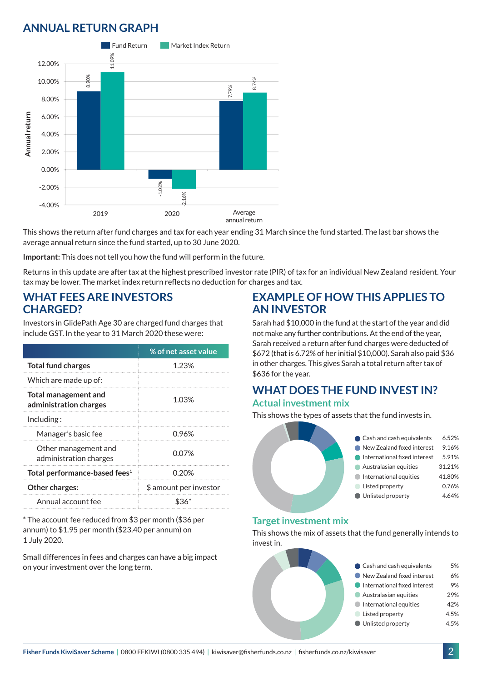## **ANNUAL RETURN GRAPH**



This shows the return after fund charges and tax for each year ending 31 March since the fund started. The last bar shows the average annual return since the fund started, up to 30 June 2020.

**Important:** This does not tell you how the fund will perform in the future.

Returns in this update are after tax at the highest prescribed investor rate (PIR) of tax for an individual New Zealand resident. Your tax may be lower. The market index return reflects no deduction for charges and tax.

### **WHAT FEES ARE INVESTORS CHARGED?**

Investors in GlidePath Age 30 are charged fund charges that include GST. In the year to 31 March 2020 these were:

|                                                       | % of net asset value   |  |
|-------------------------------------------------------|------------------------|--|
| <b>Total fund charges</b>                             | 1.23%                  |  |
| Which are made up of:                                 |                        |  |
| <b>Total management and</b><br>administration charges | 1.03%                  |  |
| Inding:                                               |                        |  |
| Manager's basic fee                                   | 0.96%                  |  |
| Other management and<br>administration charges        | 0.07%                  |  |
| Total performance-based fees <sup>1</sup>             | 0.20%                  |  |
| Other charges:                                        | \$ amount per investor |  |
| Annual account fee                                    |                        |  |

\* The account fee reduced from \$3 per month (\$36 per annum) to \$1.95 per month (\$23.40 per annum) on 1 July 2020.

Small differences in fees and charges can have a big impact on your investment over the long term.

### **EXAMPLE OF HOW THIS APPLIES TO AN INVESTOR**

Sarah had \$10,000 in the fund at the start of the year and did not make any further contributions. At the end of the year, Sarah received a return after fund charges were deducted of \$672 (that is 6.72% of her initial \$10,000). Sarah also paid \$36 in other charges. This gives Sarah a total return after tax of \$636 for the year.

#### **WHAT DOES THE FUND INVEST IN? Actual investment mix**

This shows the types of assets that the fund invests in.



#### **Target investment mix**

This shows the mix of assets that the fund generally intends to invest in.